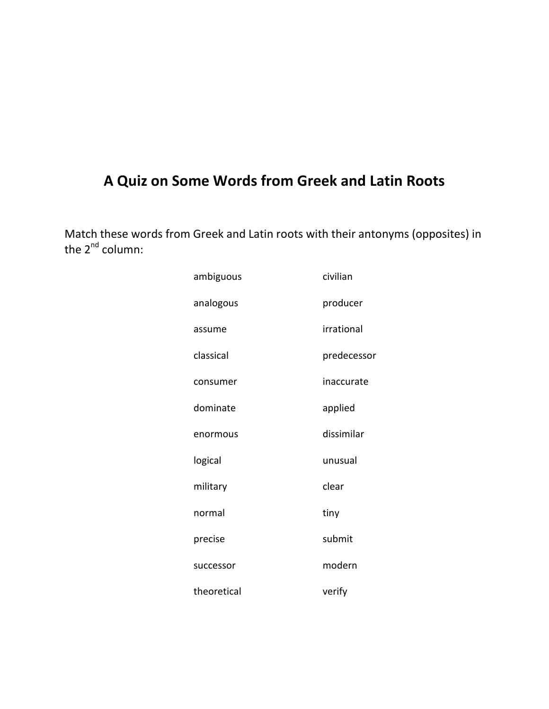# A Quiz on Some Words from Greek and Latin Roots

Match these words from Greek and Latin roots with their antonyms (opposites) in the  $2^{nd}$  column:

| ambiguous   | civilian    |
|-------------|-------------|
| analogous   | producer    |
| assume      | irrational  |
| classical   | predecessor |
| consumer    | inaccurate  |
| dominate    | applied     |
| enormous    | dissimilar  |
| logical     | unusual     |
| military    | clear       |
| normal      | tiny        |
| precise     | submit      |
| successor   | modern      |
| theoretical | verify      |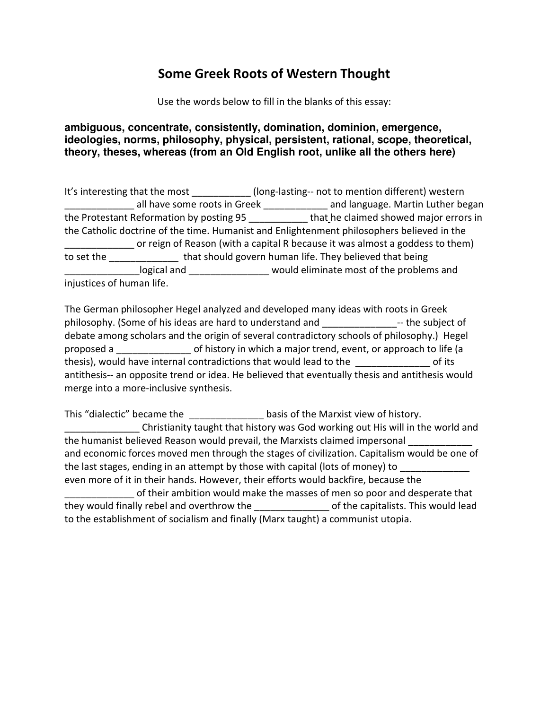# Some Greek Roots of Western Thought

Use the words below to fill in the blanks of this essay:

### **ambiguous, concentrate, consistently, domination, dominion, emergence, ideologies, norms, philosophy, physical, persistent, rational, scope, theoretical, theory, theses, whereas (from an Old English root, unlike all the others here)**

|                                          | It's interesting that the most                          | (long-lasting-- not to mention different) western                                          |
|------------------------------------------|---------------------------------------------------------|--------------------------------------------------------------------------------------------|
|                                          | all have some roots in Greek                            | and language. Martin Luther began                                                          |
| the Protestant Reformation by posting 95 |                                                         | that he claimed showed major errors in                                                     |
|                                          |                                                         | the Catholic doctrine of the time. Humanist and Enlightenment philosophers believed in the |
|                                          |                                                         | or reign of Reason (with a capital R because it was almost a goddess to them)              |
| to set the                               | that should govern human life. They believed that being |                                                                                            |
|                                          | logical and                                             | would eliminate most of the problems and                                                   |
| injustices of human life.                |                                                         |                                                                                            |

The German philosopher Hegel analyzed and developed many ideas with roots in Greek philosophy. (Some of his ideas are hard to understand and \_\_\_\_\_\_\_\_\_\_\_\_\_\_-- the subject of debate among scholars and the origin of several contradictory schools of philosophy.) Hegel proposed a \_\_\_\_\_\_\_\_\_\_\_\_\_\_ of history in which a major trend, event, or approach to life (a thesis), would have internal contradictions that would lead to the discussion of its antithesis-- an opposite trend or idea. He believed that eventually thesis and antithesis would merge into a more-inclusive synthesis.

This "dialectic" became the example basis of the Marxist view of history. Christianity taught that history was God working out His will in the world and the humanist believed Reason would prevail, the Marxists claimed impersonal and economic forces moved men through the stages of civilization. Capitalism would be one of the last stages, ending in an attempt by those with capital (lots of money) to even more of it in their hands. However, their efforts would backfire, because the \_\_\_\_\_\_\_\_\_\_\_\_\_ of their ambition would make the masses of men so poor and desperate that they would finally rebel and overthrow the example of the capitalists. This would lead to the establishment of socialism and finally (Marx taught) a communist utopia.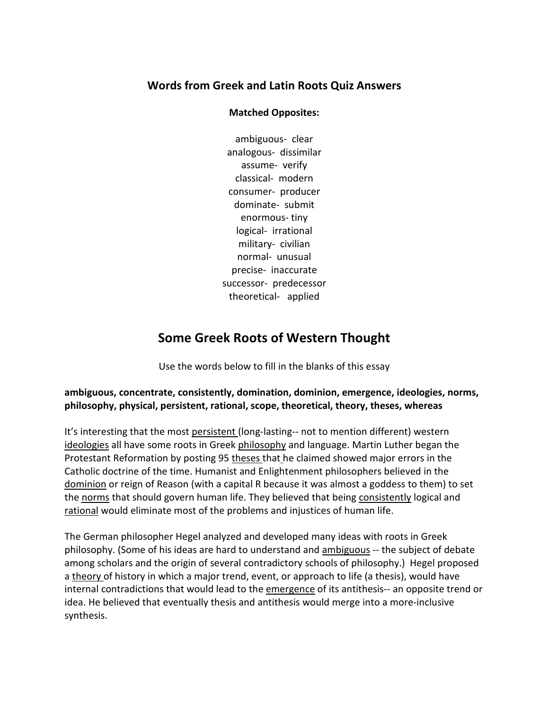## Words from Greek and Latin Roots Quiz Answers

#### Matched Opposites:

ambiguous- clear analogous- dissimilar assume- verify classical- modern consumer- producer dominate- submit enormous- tiny logical- irrational military- civilian normal- unusual precise- inaccurate successor- predecessor theoretical- applied

# Some Greek Roots of Western Thought

Use the words below to fill in the blanks of this essay

### ambiguous, concentrate, consistently, domination, dominion, emergence, ideologies, norms, philosophy, physical, persistent, rational, scope, theoretical, theory, theses, whereas

It's interesting that the most persistent (long-lasting-- not to mention different) western ideologies all have some roots in Greek philosophy and language. Martin Luther began the Protestant Reformation by posting 95 theses that he claimed showed major errors in the Catholic doctrine of the time. Humanist and Enlightenment philosophers believed in the dominion or reign of Reason (with a capital R because it was almost a goddess to them) to set the norms that should govern human life. They believed that being consistently logical and rational would eliminate most of the problems and injustices of human life.

The German philosopher Hegel analyzed and developed many ideas with roots in Greek philosophy. (Some of his ideas are hard to understand and ambiguous -- the subject of debate among scholars and the origin of several contradictory schools of philosophy.) Hegel proposed a theory of history in which a major trend, event, or approach to life (a thesis), would have internal contradictions that would lead to the emergence of its antithesis-- an opposite trend or idea. He believed that eventually thesis and antithesis would merge into a more-inclusive synthesis.